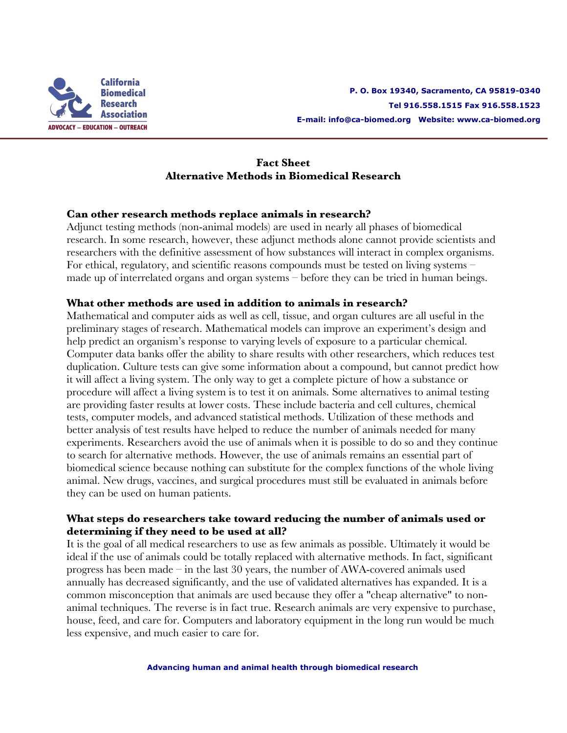

## **Fact Sheet Alternative Methods in Biomedical Research**

## **Can other research methods replace animals in research?**

Adjunct testing methods (non-animal models) are used in nearly all phases of biomedical research. In some research, however, these adjunct methods alone cannot provide scientists and researchers with the definitive assessment of how substances will interact in complex organisms. For ethical, regulatory, and scientific reasons compounds must be tested on living systems – made up of interrelated organs and organ systems – before they can be tried in human beings.

## **What other methods are used in addition to animals in research?**

Mathematical and computer aids as well as cell, tissue, and organ cultures are all useful in the preliminary stages of research. Mathematical models can improve an experiment's design and help predict an organism's response to varying levels of exposure to a particular chemical. Computer data banks offer the ability to share results with other researchers, which reduces test duplication. Culture tests can give some information about a compound, but cannot predict how it will affect a living system. The only way to get a complete picture of how a substance or procedure will affect a living system is to test it on animals. Some alternatives to animal testing are providing faster results at lower costs. These include bacteria and cell cultures, chemical tests, computer models, and advanced statistical methods. Utilization of these methods and better analysis of test results have helped to reduce the number of animals needed for many experiments. Researchers avoid the use of animals when it is possible to do so and they continue to search for alternative methods. However, the use of animals remains an essential part of biomedical science because nothing can substitute for the complex functions of the whole living animal. New drugs, vaccines, and surgical procedures must still be evaluated in animals before they can be used on human patients.

## **What steps do researchers take toward reducing the number of animals used or determining if they need to be used at all?**

It is the goal of all medical researchers to use as few animals as possible. Ultimately it would be ideal if the use of animals could be totally replaced with alternative methods. In fact, significant progress has been made – in the last 30 years, the number of AWA-covered animals used annually has decreased significantly, and the use of validated alternatives has expanded. It is a common misconception that animals are used because they offer a "cheap alternative" to nonanimal techniques. The reverse is in fact true. Research animals are very expensive to purchase, house, feed, and care for. Computers and laboratory equipment in the long run would be much less expensive, and much easier to care for.